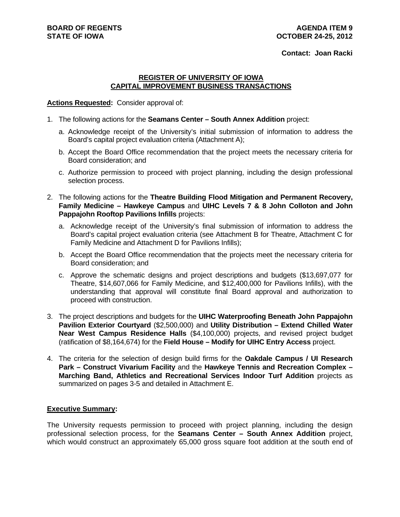#### **Contact: Joan Racki**

#### **REGISTER OF UNIVERSITY OF IOWA CAPITAL IMPROVEMENT BUSINESS TRANSACTIONS**

#### **Actions Requested:** Consider approval of:

- 1. The following actions for the **Seamans Center South Annex Addition** project:
	- a. Acknowledge receipt of the University's initial submission of information to address the Board's capital project evaluation criteria (Attachment A);
	- b. Accept the Board Office recommendation that the project meets the necessary criteria for Board consideration; and
	- c. Authorize permission to proceed with project planning, including the design professional selection process.
- 2. The following actions for the **Theatre Building Flood Mitigation and Permanent Recovery, Family Medicine – Hawkeye Campus** and **UIHC Levels 7 & 8 John Colloton and John Pappajohn Rooftop Pavilions Infills** projects:
	- a. Acknowledge receipt of the University's final submission of information to address the Board's capital project evaluation criteria (see Attachment B for Theatre, Attachment C for Family Medicine and Attachment D for Pavilions Infills);
	- b. Accept the Board Office recommendation that the projects meet the necessary criteria for Board consideration; and
	- c. Approve the schematic designs and project descriptions and budgets (\$13,697,077 for Theatre, \$14,607,066 for Family Medicine, and \$12,400,000 for Pavilions Infills), with the understanding that approval will constitute final Board approval and authorization to proceed with construction.
- 3. The project descriptions and budgets for the **UIHC Waterproofing Beneath John Pappajohn Pavilion Exterior Courtyard** (\$2,500,000) and **Utility Distribution – Extend Chilled Water Near West Campus Residence Halls** (\$4,100,000) projects, and revised project budget (ratification of \$8,164,674) for the **Field House – Modify for UIHC Entry Access** project.
- 4. The criteria for the selection of design build firms for the **Oakdale Campus / UI Research Park – Construct Vivarium Facility** and the **Hawkeye Tennis and Recreation Complex – Marching Band, Athletics and Recreational Services Indoor Turf Addition** projects as summarized on pages 3-5 and detailed in Attachment E.

### **Executive Summary:**

The University requests permission to proceed with project planning, including the design professional selection process, for the **Seamans Center – South Annex Addition** project, which would construct an approximately 65,000 gross square foot addition at the south end of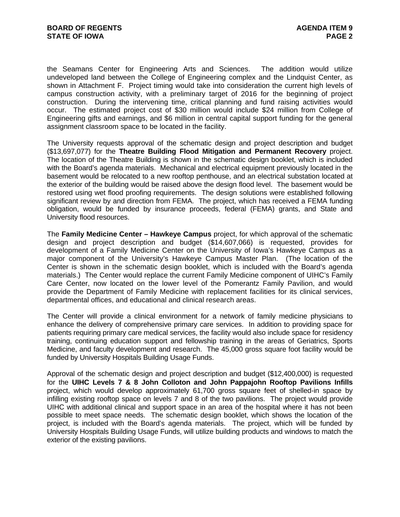the Seamans Center for Engineering Arts and Sciences. The addition would utilize undeveloped land between the College of Engineering complex and the Lindquist Center, as shown in Attachment F. Project timing would take into consideration the current high levels of campus construction activity, with a preliminary target of 2016 for the beginning of project construction. During the intervening time, critical planning and fund raising activities would occur. The estimated project cost of \$30 million would include \$24 million from College of Engineering gifts and earnings, and \$6 million in central capital support funding for the general assignment classroom space to be located in the facility.

The University requests approval of the schematic design and project description and budget (\$13,697,077) for the **Theatre Building Flood Mitigation and Permanent Recovery** project. The location of the Theatre Building is shown in the schematic design booklet, which is included with the Board's agenda materials. Mechanical and electrical equipment previously located in the basement would be relocated to a new rooftop penthouse, and an electrical substation located at the exterior of the building would be raised above the design flood level. The basement would be restored using wet flood proofing requirements. The design solutions were established following significant review by and direction from FEMA. The project, which has received a FEMA funding obligation, would be funded by insurance proceeds, federal (FEMA) grants, and State and University flood resources.

The **Family Medicine Center – Hawkeye Campus** project, for which approval of the schematic design and project description and budget (\$14,607,066) is requested, provides for development of a Family Medicine Center on the University of Iowa's Hawkeye Campus as a major component of the University's Hawkeye Campus Master Plan. (The location of the Center is shown in the schematic design booklet, which is included with the Board's agenda materials.) The Center would replace the current Family Medicine component of UIHC's Family Care Center, now located on the lower level of the Pomerantz Family Pavilion, and would provide the Department of Family Medicine with replacement facilities for its clinical services, departmental offices, and educational and clinical research areas.

The Center will provide a clinical environment for a network of family medicine physicians to enhance the delivery of comprehensive primary care services. In addition to providing space for patients requiring primary care medical services, the facility would also include space for residency training, continuing education support and fellowship training in the areas of Geriatrics, Sports Medicine, and faculty development and research. The 45,000 gross square foot facility would be funded by University Hospitals Building Usage Funds.

Approval of the schematic design and project description and budget (\$12,400,000) is requested for the **UIHC Levels 7 & 8 John Colloton and John Pappajohn Rooftop Pavilions Infills** project, which would develop approximately 61,700 gross square feet of shelled-in space by infilling existing rooftop space on levels 7 and 8 of the two pavilions. The project would provide UIHC with additional clinical and support space in an area of the hospital where it has not been possible to meet space needs. The schematic design booklet, which shows the location of the project, is included with the Board's agenda materials. The project, which will be funded by University Hospitals Building Usage Funds, will utilize building products and windows to match the exterior of the existing pavilions.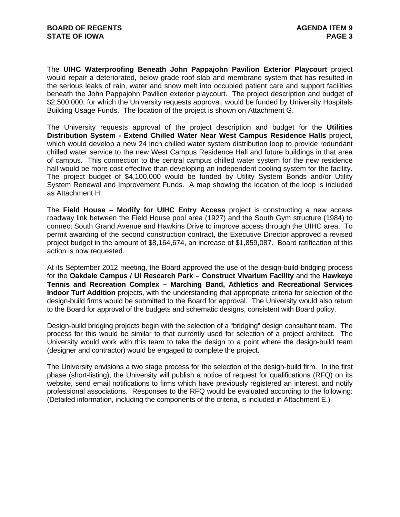The **UIHC Waterproofing Beneath John Pappajohn Pavilion Exterior Playcourt** project would repair a deteriorated, below grade roof slab and membrane system that has resulted in the serious leaks of rain, water and snow melt into occupied patient care and support facilities beneath the John Pappajohn Pavilion exterior playcourt. The project description and budget of \$2,500,000, for which the University requests approval, would be funded by University Hospitals Building Usage Funds. The location of the project is shown on Attachment G.

The University requests approval of the project description and budget for the **Utilities Distribution System - Extend Chilled Water Near West Campus Residence Halls** project, which would develop a new 24 inch chilled water system distribution loop to provide redundant chilled water service to the new West Campus Residence Hall and future buildings in that area of campus. This connection to the central campus chilled water system for the new residence hall would be more cost effective than developing an independent cooling system for the facility. The project budget of \$4,100,000 would be funded by Utility System Bonds and/or Utility System Renewal and Improvement Funds. A map showing the location of the loop is included as Attachment H.

The **Field House – Modify for UIHC Entry Access** project is constructing a new access roadway link between the Field House pool area (1927) and the South Gym structure (1984) to connect South Grand Avenue and Hawkins Drive to improve access through the UIHC area. To permit awarding of the second construction contract, the Executive Director approved a revised project budget in the amount of \$8,164,674, an increase of \$1,859,087. Board ratification of this action is now requested.

At its September 2012 meeting, the Board approved the use of the design-build-bridging process for the **Oakdale Campus / UI Research Park – Construct Vivarium Facility** and the **Hawkeye Tennis and Recreation Complex – Marching Band, Athletics and Recreational Services Indoor Turf Addition** projects, with the understanding that appropriate criteria for selection of the design-build firms would be submitted to the Board for approval. The University would also return to the Board for approval of the budgets and schematic designs, consistent with Board policy.

Design-build bridging projects begin with the selection of a "bridging" design consultant team. The process for this would be similar to that currently used for selection of a project architect. The University would work with this team to take the design to a point where the design-build team (designer and contractor) would be engaged to complete the project.

The University envisions a two stage process for the selection of the design-build firm. In the first phase (short-listing), the University will publish a notice of request for qualifications (RFQ) on its website, send email notifications to firms which have previously registered an interest, and notify professional associations. Responses to the RFQ would be evaluated according to the following: (Detailed information, including the components of the criteria, is included in Attachment E.)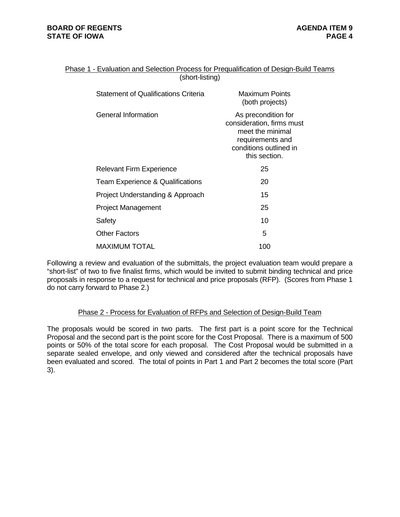| Phase 1 - Evaluation and Selection Process for Prequalification of Design-Build Teams |  |
|---------------------------------------------------------------------------------------|--|
| (short-listing)                                                                       |  |

| <b>Statement of Qualifications Criteria</b> | Maximum Points<br>(both projects)                                                                                                   |
|---------------------------------------------|-------------------------------------------------------------------------------------------------------------------------------------|
| General Information                         | As precondition for<br>consideration, firms must<br>meet the minimal<br>requirements and<br>conditions outlined in<br>this section. |
| <b>Relevant Firm Experience</b>             | 25                                                                                                                                  |
| <b>Team Experience &amp; Qualifications</b> | 20                                                                                                                                  |
| Project Understanding & Approach            | 15                                                                                                                                  |
| <b>Project Management</b>                   | 25                                                                                                                                  |
| Safety                                      | 10                                                                                                                                  |
| <b>Other Factors</b>                        | 5                                                                                                                                   |
| <b>MAXIMUM TOTAL</b>                        | 100                                                                                                                                 |

Following a review and evaluation of the submittals, the project evaluation team would prepare a "short-list" of two to five finalist firms, which would be invited to submit binding technical and price proposals in response to a request for technical and price proposals (RFP). (Scores from Phase 1 do not carry forward to Phase 2.)

### Phase 2 - Process for Evaluation of RFPs and Selection of Design-Build Team

The proposals would be scored in two parts. The first part is a point score for the Technical Proposal and the second part is the point score for the Cost Proposal. There is a maximum of 500 points or 50% of the total score for each proposal. The Cost Proposal would be submitted in a separate sealed envelope, and only viewed and considered after the technical proposals have been evaluated and scored. The total of points in Part 1 and Part 2 becomes the total score (Part 3).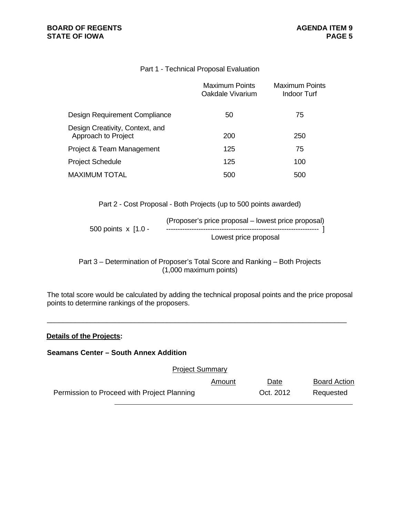## Part 1 - Technical Proposal Evaluation

|                                                        | Maximum Points<br>Oakdale Vivarium | Maximum Points<br>Indoor Turf |
|--------------------------------------------------------|------------------------------------|-------------------------------|
| Design Requirement Compliance                          | 50                                 | 75                            |
| Design Creativity, Context, and<br>Approach to Project | 200                                | 250                           |
| Project & Team Management                              | 125                                | 75                            |
| <b>Project Schedule</b>                                | 125                                | 100                           |
| <b>MAXIMUM TOTAL</b>                                   | 500                                | 500                           |

Part 2 - Cost Proposal - Both Projects (up to 500 points awarded)

|                       | (Proposer's price proposal – lowest price proposal) |
|-----------------------|-----------------------------------------------------|
| 500 points $x$ [1.0 - |                                                     |
|                       | Lowest price proposal                               |

Part 3 – Determination of Proposer's Total Score and Ranking – Both Projects (1,000 maximum points)

The total score would be calculated by adding the technical proposal points and the price proposal points to determine rankings of the proposers.

\_\_\_\_\_\_\_\_\_\_\_\_\_\_\_\_\_\_\_\_\_\_\_\_\_\_\_\_\_\_\_\_\_\_\_\_\_\_\_\_\_\_\_\_\_\_\_\_\_\_\_\_\_\_\_\_\_\_\_\_\_\_\_\_\_\_\_\_\_\_\_\_\_\_\_

### **Details of the Projects:**

**Seamans Center – South Annex Addition** 

Project Summary Amount Date Board Action Permission to Proceed with Project Planning Theorem Cort. 2012 Requested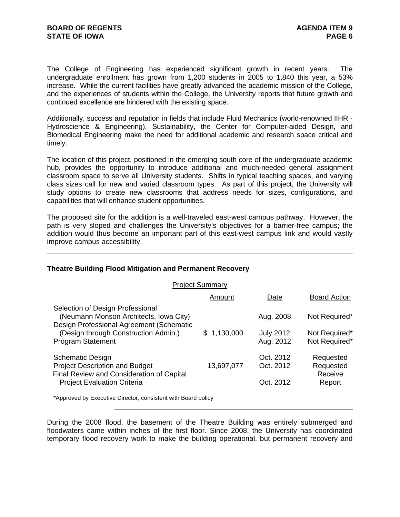The College of Engineering has experienced significant growth in recent years. The undergraduate enrollment has grown from 1,200 students in 2005 to 1,840 this year, a 53% increase. While the current facilities have greatly advanced the academic mission of the College, and the experiences of students within the College, the University reports that future growth and continued excellence are hindered with the existing space.

Additionally, success and reputation in fields that include Fluid Mechanics (world-renowned IIHR - Hydroscience & Engineering), Sustainability, the Center for Computer-aided Design, and Biomedical Engineering make the need for additional academic and research space critical and timely.

The location of this project, positioned in the emerging south core of the undergraduate academic hub, provides the opportunity to introduce additional and much-needed general assignment classroom space to serve all University students. Shifts in typical teaching spaces, and varying class sizes call for new and varied classroom types. As part of this project, the University will study options to create new classrooms that address needs for sizes, configurations, and capabilities that will enhance student opportunities.

The proposed site for the addition is a well-traveled east-west campus pathway. However, the path is very sloped and challenges the University's objectives for a barrier-free campus; the addition would thus become an important part of this east-west campus link and would vastly improve campus accessibility.

\_\_\_\_\_\_\_\_\_\_\_\_\_\_\_\_\_\_\_\_\_\_\_\_\_\_\_\_\_\_\_\_\_\_\_\_\_\_\_\_\_\_\_\_\_\_\_\_\_\_\_\_\_\_\_\_\_\_\_\_\_\_\_\_\_\_\_\_\_\_\_\_\_\_\_\_\_\_

### **Theatre Building Flood Mitigation and Permanent Recovery**

| <b>Project Summary</b>                                                                                                 |             |                               |                                   |
|------------------------------------------------------------------------------------------------------------------------|-------------|-------------------------------|-----------------------------------|
|                                                                                                                        | Amount      | Date                          | <b>Board Action</b>               |
| Selection of Design Professional<br>(Neumann Monson Architects, Iowa City)<br>Design Professional Agreement (Schematic |             | Aug. 2008                     | Not Required*                     |
| (Design through Construction Admin.)<br><b>Program Statement</b>                                                       | \$1,130,000 | <b>July 2012</b><br>Aug. 2012 | Not Required*<br>Not Required*    |
| <b>Schematic Design</b><br><b>Project Description and Budget</b><br>Final Review and Consideration of Capital          | 13,697,077  | Oct. 2012<br>Oct. 2012        | Requested<br>Requested<br>Receive |
| <b>Project Evaluation Criteria</b>                                                                                     |             | Oct. 2012                     | Report                            |

\*Approved by Executive Director, consistent with Board policy

During the 2008 flood, the basement of the Theatre Building was entirely submerged and floodwaters came within inches of the first floor. Since 2008, the University has coordinated temporary flood recovery work to make the building operational, but permanent recovery and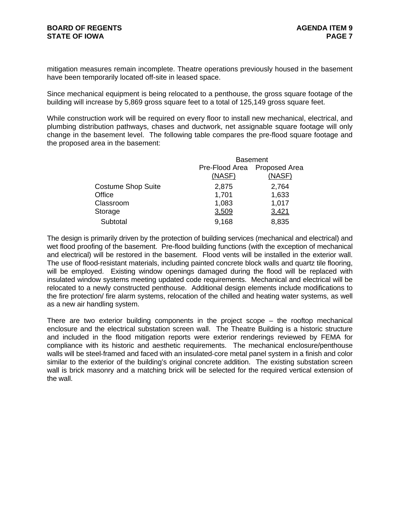mitigation measures remain incomplete. Theatre operations previously housed in the basement have been temporarily located off-site in leased space.

Since mechanical equipment is being relocated to a penthouse, the gross square footage of the building will increase by 5,869 gross square feet to a total of 125,149 gross square feet.

While construction work will be required on every floor to install new mechanical, electrical, and plumbing distribution pathways, chases and ductwork, net assignable square footage will only change in the basement level. The following table compares the pre-flood square footage and the proposed area in the basement:

|                           | <b>Basement</b>              |        |  |
|---------------------------|------------------------------|--------|--|
|                           | Pre-Flood Area Proposed Area |        |  |
|                           | (NASF)                       | (NASF) |  |
| <b>Costume Shop Suite</b> | 2,875                        | 2,764  |  |
| Office                    | 1,701                        | 1,633  |  |
| Classroom                 | 1,083                        | 1,017  |  |
| Storage                   | 3,509                        | 3,421  |  |
| Subtotal                  | 9,168                        | 8,835  |  |

The design is primarily driven by the protection of building services (mechanical and electrical) and wet flood proofing of the basement. Pre-flood building functions (with the exception of mechanical and electrical) will be restored in the basement. Flood vents will be installed in the exterior wall. The use of flood‐resistant materials, including painted concrete block walls and quartz tile flooring, will be employed. Existing window openings damaged during the flood will be replaced with insulated window systems meeting updated code requirements. Mechanical and electrical will be relocated to a newly constructed penthouse. Additional design elements include modifications to the fire protection/ fire alarm systems, relocation of the chilled and heating water systems, as well as a new air handling system.

There are two exterior building components in the project scope – the rooftop mechanical enclosure and the electrical substation screen wall. The Theatre Building is a historic structure and included in the flood mitigation reports were exterior renderings reviewed by FEMA for compliance with its historic and aesthetic requirements. The mechanical enclosure/penthouse walls will be steel-framed and faced with an insulated-core metal panel system in a finish and color similar to the exterior of the building's original concrete addition. The existing substation screen wall is brick masonry and a matching brick will be selected for the required vertical extension of the wall.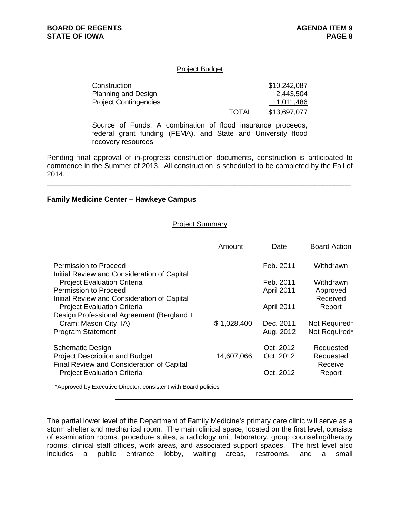#### Project Budget

| Construction                 |              | \$10,242,087 |
|------------------------------|--------------|--------------|
| <b>Planning and Design</b>   |              | 2,443,504    |
| <b>Project Contingencies</b> |              | 1,011,486    |
|                              | <b>TOTAL</b> | \$13,697,077 |

Source of Funds: A combination of flood insurance proceeds, federal grant funding (FEMA), and State and University flood recovery resources

Pending final approval of in-progress construction documents, construction is anticipated to commence in the Summer of 2013. All construction is scheduled to be completed by the Fall of 2014.

\_\_\_\_\_\_\_\_\_\_\_\_\_\_\_\_\_\_\_\_\_\_\_\_\_\_\_\_\_\_\_\_\_\_\_\_\_\_\_\_\_\_\_\_\_\_\_\_\_\_\_\_\_\_\_\_\_\_\_\_\_\_\_\_\_\_\_\_\_\_\_\_\_\_\_\_

#### **Family Medicine Center – Hawkeye Campus**

#### Project Summary

|                                                                                                               | Amount      | Date                   | <b>Board Action</b>               |
|---------------------------------------------------------------------------------------------------------------|-------------|------------------------|-----------------------------------|
| Permission to Proceed<br>Initial Review and Consideration of Capital                                          |             | Feb. 2011              | Withdrawn                         |
| <b>Project Evaluation Criteria</b>                                                                            |             | Feb. 2011              | Withdrawn                         |
| Permission to Proceed<br>Initial Review and Consideration of Capital                                          |             | April 2011             | Approved<br>Received              |
| <b>Project Evaluation Criteria</b>                                                                            |             | April 2011             | Report                            |
| Design Professional Agreement (Bergland +<br>Cram; Mason City, IA)                                            | \$1,028,400 | Dec. 2011              | Not Required*                     |
| <b>Program Statement</b>                                                                                      |             | Aug. 2012              | Not Required*                     |
| <b>Schematic Design</b><br><b>Project Description and Budget</b><br>Final Review and Consideration of Capital | 14,607,066  | Oct. 2012<br>Oct. 2012 | Requested<br>Requested<br>Receive |
| <b>Project Evaluation Criteria</b>                                                                            |             | Oct. 2012              | Report                            |
| *Approved by Executive Director, consistent with Board policies                                               |             |                        |                                   |

The partial lower level of the Department of Family Medicine's primary care clinic will serve as a storm shelter and mechanical room. The main clinical space, located on the first level, consists of examination rooms, procedure suites, a radiology unit, laboratory, group counseling/therapy rooms, clinical staff offices, work areas, and associated support spaces. The first level also

includes a public entrance lobby, waiting areas, restrooms, and a small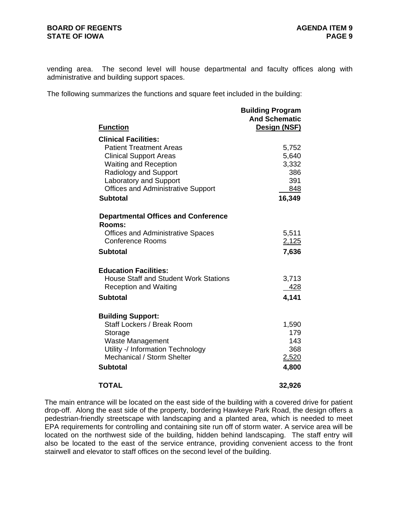vending area. The second level will house departmental and faculty offices along with administrative and building support spaces.

The following summarizes the functions and square feet included in the building:

| <b>Function</b>                                      | <b>Building Program</b><br><b>And Schematic</b><br>Design (NSF) |
|------------------------------------------------------|-----------------------------------------------------------------|
| <b>Clinical Facilities:</b>                          |                                                                 |
| <b>Patient Treatment Areas</b>                       | 5,752                                                           |
| <b>Clinical Support Areas</b>                        | 5,640                                                           |
| <b>Waiting and Reception</b>                         | 3,332                                                           |
| Radiology and Support                                | 386                                                             |
| <b>Laboratory and Support</b>                        | 391                                                             |
| <b>Offices and Administrative Support</b>            | 848                                                             |
| <b>Subtotal</b>                                      | 16,349                                                          |
| <b>Departmental Offices and Conference</b><br>Rooms: |                                                                 |
| <b>Offices and Administrative Spaces</b>             | 5,511                                                           |
| <b>Conference Rooms</b>                              | 2,125                                                           |
| <b>Subtotal</b>                                      | 7,636                                                           |
| <b>Education Facilities:</b>                         |                                                                 |
| <b>House Staff and Student Work Stations</b>         | 3,713                                                           |
| <b>Reception and Waiting</b>                         | <u>428</u>                                                      |
| <b>Subtotal</b>                                      | 4,141                                                           |
| <b>Building Support:</b>                             |                                                                 |
| Staff Lockers / Break Room                           | 1,590                                                           |
| Storage                                              | 179                                                             |
| <b>Waste Management</b>                              | 143                                                             |
| Utility -/ Information Technology                    | 368                                                             |
| Mechanical / Storm Shelter                           | 2,520                                                           |
| <b>Subtotal</b>                                      | 4,800                                                           |
| <b>TOTAL</b>                                         | 32,926                                                          |

The main entrance will be located on the east side of the building with a covered drive for patient drop-off. Along the east side of the property, bordering Hawkeye Park Road, the design offers a pedestrian-friendly streetscape with landscaping and a planted area, which is needed to meet EPA requirements for controlling and containing site run off of storm water. A service area will be located on the northwest side of the building, hidden behind landscaping. The staff entry will also be located to the east of the service entrance, providing convenient access to the front stairwell and elevator to staff offices on the second level of the building.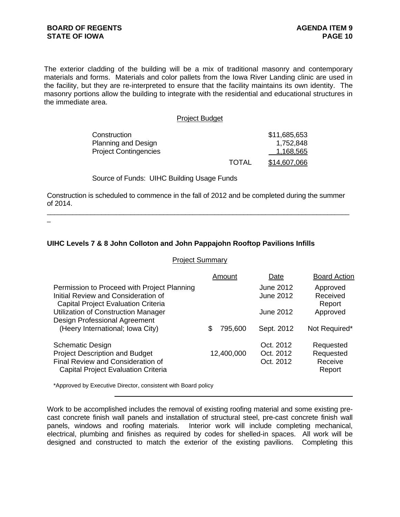The exterior cladding of the building will be a mix of traditional masonry and contemporary materials and forms. Materials and color pallets from the Iowa River Landing clinic are used in the facility, but they are re-interpreted to ensure that the facility maintains its own identity. The masonry portions allow the building to integrate with the residential and educational structures in the immediate area.

#### Project Budget

| Construction                 |              | \$11,685,653 |
|------------------------------|--------------|--------------|
| <b>Planning and Design</b>   |              | 1,752,848    |
| <b>Project Contingencies</b> |              | 1,168,565    |
|                              | <b>TOTAL</b> | \$14,607,066 |

#### Source of Funds: UIHC Building Usage Funds

Construction is scheduled to commence in the fall of 2012 and be completed during the summer of 2014. \_\_\_\_\_\_\_\_\_\_\_\_\_\_\_\_\_\_\_\_\_\_\_\_\_\_\_\_\_\_\_\_\_\_\_\_\_\_\_\_\_\_\_\_\_\_\_\_\_\_\_\_\_\_\_\_\_\_\_\_\_\_\_\_\_\_\_\_\_\_\_\_\_\_\_\_\_\_\_\_\_\_\_

 $\overline{a}$ 

## **UIHC Levels 7 & 8 John Colloton and John Pappajohn Rooftop Pavilions Infills**

#### Project Summary

|                                                                                                                                                     | Amount       | Date                                 | <b>Board Action</b>                         |
|-----------------------------------------------------------------------------------------------------------------------------------------------------|--------------|--------------------------------------|---------------------------------------------|
| Permission to Proceed with Project Planning<br>Initial Review and Consideration of<br><b>Capital Project Evaluation Criteria</b>                    |              | <b>June 2012</b><br><b>June 2012</b> | Approved<br>Received<br>Report              |
| <b>Utilization of Construction Manager</b><br><b>Design Professional Agreement</b>                                                                  |              | June 2012                            | Approved                                    |
| (Heery International; Iowa City)                                                                                                                    | 795,600<br>S | Sept. 2012                           | Not Required*                               |
| <b>Schematic Design</b><br><b>Project Description and Budget</b><br>Final Review and Consideration of<br><b>Capital Project Evaluation Criteria</b> | 12,400,000   | Oct. 2012<br>Oct. 2012<br>Oct. 2012  | Requested<br>Requested<br>Receive<br>Report |

\*Approved by Executive Director, consistent with Board policy

Work to be accomplished includes the removal of existing roofing material and some existing precast concrete finish wall panels and installation of structural steel, pre-cast concrete finish wall panels, windows and roofing materials. Interior work will include completing mechanical, electrical, plumbing and finishes as required by codes for shelled-in spaces. All work will be designed and constructed to match the exterior of the existing pavilions. Completing this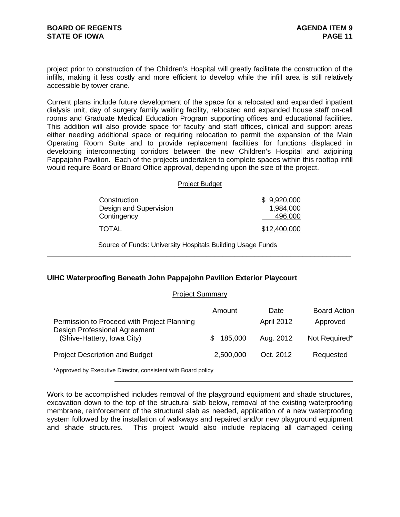project prior to construction of the Children's Hospital will greatly facilitate the construction of the infills, making it less costly and more efficient to develop while the infill area is still relatively accessible by tower crane.

Current plans include future development of the space for a relocated and expanded inpatient dialysis unit, day of surgery family waiting facility, relocated and expanded house staff on-call rooms and Graduate Medical Education Program supporting offices and educational facilities. This addition will also provide space for faculty and staff offices, clinical and support areas either needing additional space or requiring relocation to permit the expansion of the Main Operating Room Suite and to provide replacement facilities for functions displaced in developing interconnecting corridors between the new Children's Hospital and adjoining Pappajohn Pavilion. Each of the projects undertaken to complete spaces within this rooftop infill would require Board or Board Office approval, depending upon the size of the project.

#### Project Budget

| Construction           | \$9,920,000  |
|------------------------|--------------|
| Design and Supervision | 1,984,000    |
| Contingency            | 496,000      |
| <b>TOTAL</b>           | \$12,400,000 |

\_\_\_\_\_\_\_\_\_\_\_\_\_\_\_\_\_\_\_\_\_\_\_\_\_\_\_\_\_\_\_\_\_\_\_\_\_\_\_\_\_\_\_\_\_\_\_\_\_\_\_\_\_\_\_\_\_\_\_\_\_\_\_\_\_\_\_\_\_\_\_\_\_\_\_\_

Source of Funds: University Hospitals Building Usage Funds

### **UIHC Waterproofing Beneath John Pappajohn Pavilion Exterior Playcourt**

#### Project Summary

|                                                                              | Amount         | Date              | <b>Board Action</b> |
|------------------------------------------------------------------------------|----------------|-------------------|---------------------|
| Permission to Proceed with Project Planning<br>Design Professional Agreement |                | <b>April 2012</b> | Approved            |
| (Shive-Hattery, Iowa City)                                                   | 185,000<br>SS. | Aug. 2012         | Not Required*       |
| <b>Project Description and Budget</b>                                        | 2,500,000      | Oct. 2012         | Requested           |

\*Approved by Executive Director, consistent with Board policy

Work to be accomplished includes removal of the playground equipment and shade structures, excavation down to the top of the structural slab below, removal of the existing waterproofing membrane, reinforcement of the structural slab as needed, application of a new waterproofing system followed by the installation of walkways and repaired and/or new playground equipment and shade structures. This project would also include replacing all damaged ceiling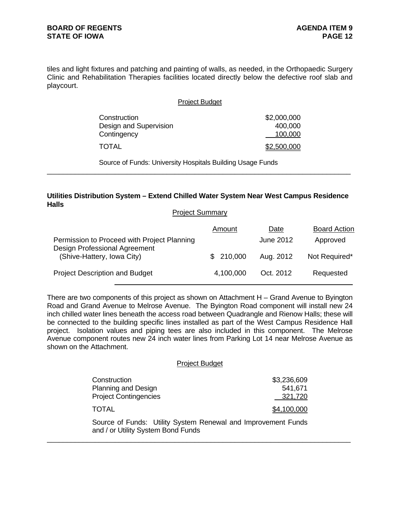tiles and light fixtures and patching and painting of walls, as needed, in the Orthopaedic Surgery Clinic and Rehabilitation Therapies facilities located directly below the defective roof slab and playcourt.

| <b>Project Budget</b>                                 |                                   |
|-------------------------------------------------------|-----------------------------------|
| Construction<br>Design and Supervision<br>Contingency | \$2,000,000<br>400,000<br>100,000 |
| TOTAL                                                 | \$2,500,000                       |

Source of Funds: University Hospitals Building Usage Funds

### **Utilities Distribution System – Extend Chilled Water System Near West Campus Residence Halls**

\_\_\_\_\_\_\_\_\_\_\_\_\_\_\_\_\_\_\_\_\_\_\_\_\_\_\_\_\_\_\_\_\_\_\_\_\_\_\_\_\_\_\_\_\_\_\_\_\_\_\_\_\_\_\_\_\_\_\_\_\_\_\_\_\_\_\_\_\_\_\_\_\_\_\_\_

Project Summary

|                                                                              | Amount    | Date      | <b>Board Action</b> |
|------------------------------------------------------------------------------|-----------|-----------|---------------------|
| Permission to Proceed with Project Planning<br>Design Professional Agreement |           | June 2012 | Approved            |
| (Shive-Hattery, Iowa City)                                                   | \$210,000 | Aug. 2012 | Not Required*       |
| <b>Project Description and Budget</b>                                        | 4,100,000 | Oct. 2012 | Requested           |

There are two components of this project as shown on Attachment H – Grand Avenue to Byington Road and Grand Avenue to Melrose Avenue. The Byington Road component will install new 24 inch chilled water lines beneath the access road between Quadrangle and Rienow Halls; these will be connected to the building specific lines installed as part of the West Campus Residence Hall project. Isolation values and piping tees are also included in this component. The Melrose Avenue component routes new 24 inch water lines from Parking Lot 14 near Melrose Avenue as shown on the Attachment.

### Project Budget

| Construction                 | \$3,236,609 |
|------------------------------|-------------|
| <b>Planning and Design</b>   | 541,671     |
| <b>Project Contingencies</b> | 321,720     |
| <b>TOTAL</b>                 | \$4,100,000 |

Source of Funds: Utility System Renewal and Improvement Funds and / or Utility System Bond Funds

\_\_\_\_\_\_\_\_\_\_\_\_\_\_\_\_\_\_\_\_\_\_\_\_\_\_\_\_\_\_\_\_\_\_\_\_\_\_\_\_\_\_\_\_\_\_\_\_\_\_\_\_\_\_\_\_\_\_\_\_\_\_\_\_\_\_\_\_\_\_\_\_\_\_\_\_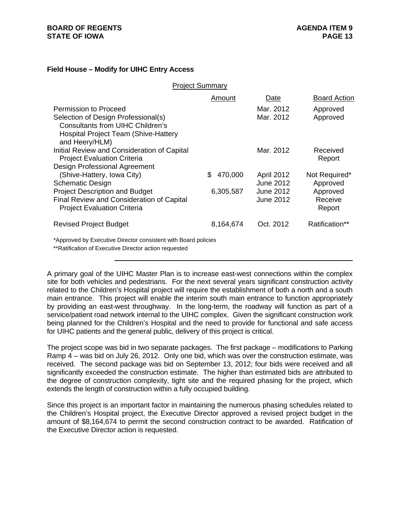## **BOARD OF REGENTS STATE OF IOWA**

### **Field House – Modify for UIHC Entry Access**

Project Summary

|                                                                                                                         | Amount       | Date              | <b>Board Action</b> |
|-------------------------------------------------------------------------------------------------------------------------|--------------|-------------------|---------------------|
| Permission to Proceed                                                                                                   |              | Mar. 2012         | Approved            |
| Selection of Design Professional(s)                                                                                     |              | Mar. 2012         | Approved            |
| Consultants from UIHC Children's                                                                                        |              |                   |                     |
| <b>Hospital Project Team (Shive-Hattery</b>                                                                             |              |                   |                     |
| and Heery/HLM)                                                                                                          |              |                   |                     |
| Initial Review and Consideration of Capital                                                                             |              | Mar. 2012         | Received            |
| <b>Project Evaluation Criteria</b>                                                                                      |              |                   | Report              |
| <b>Design Professional Agreement</b>                                                                                    |              |                   |                     |
| (Shive-Hattery, Iowa City)                                                                                              | 470,000<br>S | <b>April 2012</b> | Not Required*       |
| <b>Schematic Design</b>                                                                                                 |              | June 2012         | Approved            |
| <b>Project Description and Budget</b>                                                                                   | 6,305,587    | June 2012         | Approved            |
| Final Review and Consideration of Capital                                                                               |              | June 2012         | Receive             |
| <b>Project Evaluation Criteria</b>                                                                                      |              |                   | Report              |
| <b>Revised Project Budget</b>                                                                                           | 8,164,674    | Oct. 2012         | Ratification**      |
| *Approved by Executive Director consistent with Board policies<br>**Ratification of Executive Director action requested |              |                   |                     |

A primary goal of the UIHC Master Plan is to increase east-west connections within the complex site for both vehicles and pedestrians. For the next several years significant construction activity related to the Children's Hospital project will require the establishment of both a north and a south main entrance. This project will enable the interim south main entrance to function appropriately by providing an east-west throughway. In the long-term, the roadway will function as part of a service/patient road network internal to the UIHC complex. Given the significant construction work being planned for the Children's Hospital and the need to provide for functional and safe access for UIHC patients and the general public, delivery of this project is critical.

The project scope was bid in two separate packages. The first package – modifications to Parking Ramp 4 – was bid on July 26, 2012. Only one bid, which was over the construction estimate, was received. The second package was bid on September 13, 2012; four bids were received and all significantly exceeded the construction estimate. The higher than estimated bids are attributed to the degree of construction complexity, tight site and the required phasing for the project, which extends the length of construction within a fully occupied building.

Since this project is an important factor in maintaining the numerous phasing schedules related to the Children's Hospital project, the Executive Director approved a revised project budget in the amount of \$8,164,674 to permit the second construction contract to be awarded. Ratification of the Executive Director action is requested.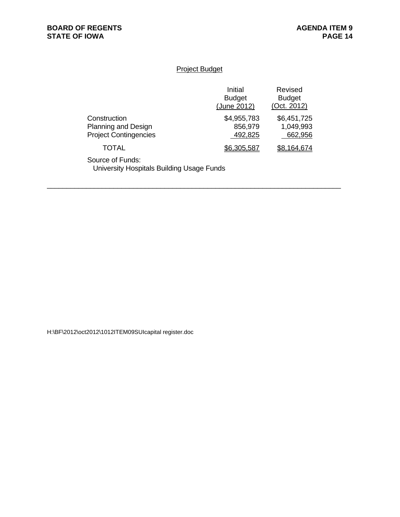## Project Budget

|                                                                     | Initial<br><b>Budget</b><br>(June 2012) | Revised<br><b>Budget</b><br>(Oct. 2012) |
|---------------------------------------------------------------------|-----------------------------------------|-----------------------------------------|
| Construction<br>Planning and Design<br><b>Project Contingencies</b> | \$4,955,783<br>856,979<br>492,825       | \$6,451,725<br>1,049,993<br>662,956     |
| TOTAL                                                               | \$6,305,587                             | 68.164.674                              |

\_\_\_\_\_\_\_\_\_\_\_\_\_\_\_\_\_\_\_\_\_\_\_\_\_\_\_\_\_\_\_\_\_\_\_\_\_\_\_\_\_\_\_\_\_\_\_\_\_\_\_\_\_\_\_\_\_\_\_\_\_\_\_\_\_\_\_\_\_\_\_\_\_\_\_

Source of Funds: University Hospitals Building Usage Funds

H:\BF\2012\oct2012\1012ITEM09SUIcapital register.doc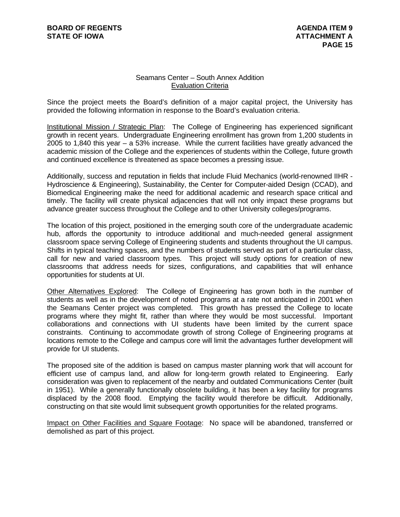## Seamans Center – South Annex Addition Evaluation Criteria

Since the project meets the Board's definition of a major capital project, the University has provided the following information in response to the Board's evaluation criteria.

Institutional Mission / Strategic Plan: The College of Engineering has experienced significant growth in recent years. Undergraduate Engineering enrollment has grown from 1,200 students in 2005 to 1,840 this year – a 53% increase. While the current facilities have greatly advanced the academic mission of the College and the experiences of students within the College, future growth and continued excellence is threatened as space becomes a pressing issue.

Additionally, success and reputation in fields that include Fluid Mechanics (world-renowned IIHR - Hydroscience & Engineering), Sustainability, the Center for Computer-aided Design (CCAD), and Biomedical Engineering make the need for additional academic and research space critical and timely. The facility will create physical adjacencies that will not only impact these programs but advance greater success throughout the College and to other University colleges/programs.

The location of this project, positioned in the emerging south core of the undergraduate academic hub, affords the opportunity to introduce additional and much-needed general assignment classroom space serving College of Engineering students and students throughout the UI campus. Shifts in typical teaching spaces, and the numbers of students served as part of a particular class, call for new and varied classroom types. This project will study options for creation of new classrooms that address needs for sizes, configurations, and capabilities that will enhance opportunities for students at UI.

Other Alternatives Explored: The College of Engineering has grown both in the number of students as well as in the development of noted programs at a rate not anticipated in 2001 when the Seamans Center project was completed. This growth has pressed the College to locate programs where they might fit, rather than where they would be most successful. Important collaborations and connections with UI students have been limited by the current space constraints. Continuing to accommodate growth of strong College of Engineering programs at locations remote to the College and campus core will limit the advantages further development will provide for UI students.

The proposed site of the addition is based on campus master planning work that will account for efficient use of campus land, and allow for long-term growth related to Engineering. Early consideration was given to replacement of the nearby and outdated Communications Center (built in 1951). While a generally functionally obsolete building, it has been a key facility for programs displaced by the 2008 flood. Emptying the facility would therefore be difficult. Additionally, constructing on that site would limit subsequent growth opportunities for the related programs.

Impact on Other Facilities and Square Footage: No space will be abandoned, transferred or demolished as part of this project.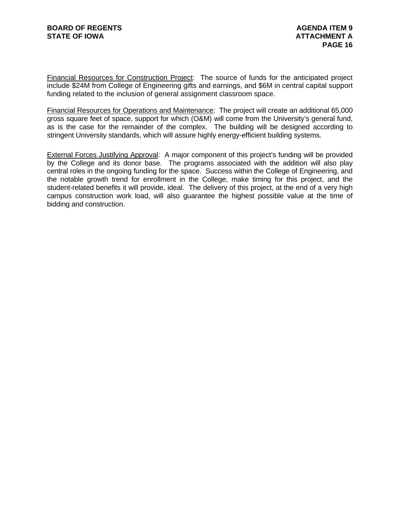Financial Resources for Construction Project: The source of funds for the anticipated project include \$24M from College of Engineering gifts and earnings, and \$6M in central capital support funding related to the inclusion of general assignment classroom space.

Financial Resources for Operations and Maintenance: The project will create an additional 65,000 gross square feet of space, support for which (O&M) will come from the University's general fund, as is the case for the remainder of the complex. The building will be designed according to stringent University standards, which will assure highly energy-efficient building systems.

External Forces Justifying Approval: A major component of this project's funding will be provided by the College and its donor base. The programs associated with the addition will also play central roles in the ongoing funding for the space. Success within the College of Engineering, and the notable growth trend for enrollment in the College, make timing for this project, and the student-related benefits it will provide, ideal. The delivery of this project, at the end of a very high campus construction work load, will also guarantee the highest possible value at the time of bidding and construction.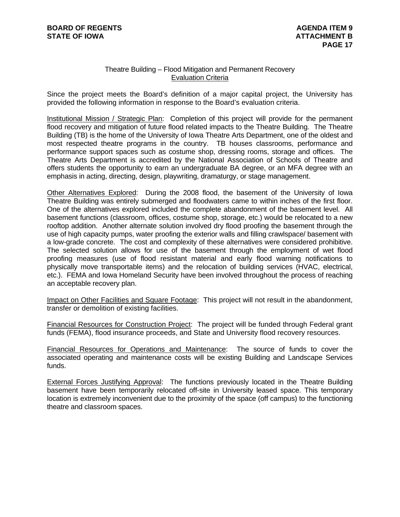## Theatre Building – Flood Mitigation and Permanent Recovery Evaluation Criteria

Since the project meets the Board's definition of a major capital project, the University has provided the following information in response to the Board's evaluation criteria.

Institutional Mission / Strategic Plan: Completion of this project will provide for the permanent flood recovery and mitigation of future flood related impacts to the Theatre Building. The Theatre Building (TB) is the home of the University of Iowa Theatre Arts Department, one of the oldest and most respected theatre programs in the country. TB houses classrooms, performance and performance support spaces such as costume shop, dressing rooms, storage and offices. The Theatre Arts Department is accredited by the National Association of Schools of Theatre and offers students the opportunity to earn an undergraduate BA degree, or an MFA degree with an emphasis in acting, directing, design, playwriting, dramaturgy, or stage management.

Other Alternatives Explored: During the 2008 flood, the basement of the University of Iowa Theatre Building was entirely submerged and floodwaters came to within inches of the first floor. One of the alternatives explored included the complete abandonment of the basement level. All basement functions (classroom, offices, costume shop, storage, etc.) would be relocated to a new rooftop addition. Another alternate solution involved dry flood proofing the basement through the use of high capacity pumps, water proofing the exterior walls and filling crawlspace/ basement with a low-grade concrete. The cost and complexity of these alternatives were considered prohibitive. The selected solution allows for use of the basement through the employment of wet flood proofing measures (use of flood resistant material and early flood warning notifications to physically move transportable items) and the relocation of building services (HVAC, electrical, etc.). FEMA and Iowa Homeland Security have been involved throughout the process of reaching an acceptable recovery plan.

Impact on Other Facilities and Square Footage: This project will not result in the abandonment, transfer or demolition of existing facilities.

Financial Resources for Construction Project: The project will be funded through Federal grant funds (FEMA), flood insurance proceeds, and State and University flood recovery resources.

Financial Resources for Operations and Maintenance: The source of funds to cover the associated operating and maintenance costs will be existing Building and Landscape Services funds.

External Forces Justifying Approval: The functions previously located in the Theatre Building basement have been temporarily relocated off-site in University leased space. This temporary location is extremely inconvenient due to the proximity of the space (off campus) to the functioning theatre and classroom spaces.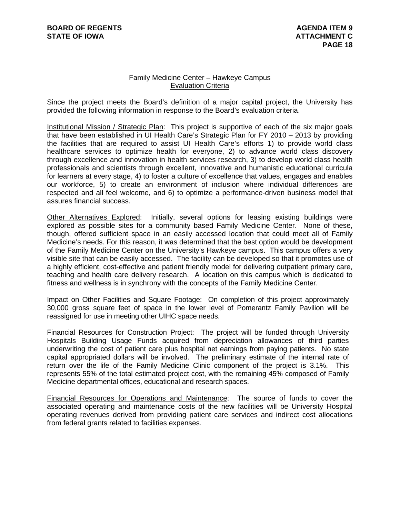## Family Medicine Center – Hawkeye Campus Evaluation Criteria

Since the project meets the Board's definition of a major capital project, the University has provided the following information in response to the Board's evaluation criteria.

Institutional Mission / Strategic Plan: This project is supportive of each of the six major goals that have been established in UI Health Care's Strategic Plan for FY 2010 – 2013 by providing the facilities that are required to assist UI Health Care's efforts 1) to provide world class healthcare services to optimize health for everyone, 2) to advance world class discovery through excellence and innovation in health services research, 3) to develop world class health professionals and scientists through excellent, innovative and humanistic educational curricula for learners at every stage, 4) to foster a culture of excellence that values, engages and enables our workforce, 5) to create an environment of inclusion where individual differences are respected and all feel welcome, and 6) to optimize a performance-driven business model that assures financial success.

Other Alternatives Explored: Initially, several options for leasing existing buildings were explored as possible sites for a community based Family Medicine Center. None of these, though, offered sufficient space in an easily accessed location that could meet all of Family Medicine's needs. For this reason, it was determined that the best option would be development of the Family Medicine Center on the University's Hawkeye campus. This campus offers a very visible site that can be easily accessed. The facility can be developed so that it promotes use of a highly efficient, cost-effective and patient friendly model for delivering outpatient primary care, teaching and health care delivery research. A location on this campus which is dedicated to fitness and wellness is in synchrony with the concepts of the Family Medicine Center.

Impact on Other Facilities and Square Footage: On completion of this project approximately 30,000 gross square feet of space in the lower level of Pomerantz Family Pavilion will be reassigned for use in meeting other UIHC space needs.

Financial Resources for Construction Project: The project will be funded through University Hospitals Building Usage Funds acquired from depreciation allowances of third parties underwriting the cost of patient care plus hospital net earnings from paying patients. No state capital appropriated dollars will be involved. The preliminary estimate of the internal rate of return over the life of the Family Medicine Clinic component of the project is 3.1%. This represents 55% of the total estimated project cost, with the remaining 45% composed of Family Medicine departmental offices, educational and research spaces.

Financial Resources for Operations and Maintenance: The source of funds to cover the associated operating and maintenance costs of the new facilities will be University Hospital operating revenues derived from providing patient care services and indirect cost allocations from federal grants related to facilities expenses.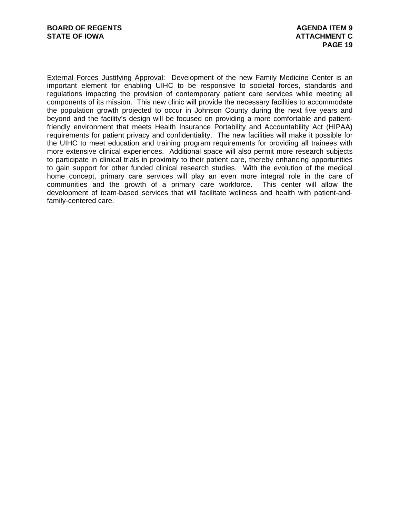External Forces Justifying Approval: Development of the new Family Medicine Center is an important element for enabling UIHC to be responsive to societal forces, standards and regulations impacting the provision of contemporary patient care services while meeting all components of its mission. This new clinic will provide the necessary facilities to accommodate the population growth projected to occur in Johnson County during the next five years and beyond and the facility's design will be focused on providing a more comfortable and patientfriendly environment that meets Health Insurance Portability and Accountability Act (HIPAA) requirements for patient privacy and confidentiality. The new facilities will make it possible for the UIHC to meet education and training program requirements for providing all trainees with more extensive clinical experiences. Additional space will also permit more research subjects to participate in clinical trials in proximity to their patient care, thereby enhancing opportunities to gain support for other funded clinical research studies. With the evolution of the medical home concept, primary care services will play an even more integral role in the care of communities and the growth of a primary care workforce. This center will allow the development of team-based services that will facilitate wellness and health with patient-andfamily-centered care.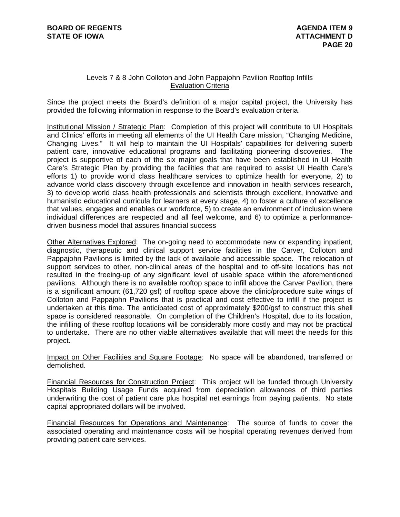## Levels 7 & 8 John Colloton and John Pappajohn Pavilion Rooftop Infills Evaluation Criteria

Since the project meets the Board's definition of a major capital project, the University has provided the following information in response to the Board's evaluation criteria.

Institutional Mission / Strategic Plan: Completion of this project will contribute to UI Hospitals and Clinics' efforts in meeting all elements of the UI Health Care mission, "Changing Medicine, Changing Lives." It will help to maintain the UI Hospitals' capabilities for delivering superb patient care, innovative educational programs and facilitating pioneering discoveries. The project is supportive of each of the six major goals that have been established in UI Health Care's Strategic Plan by providing the facilities that are required to assist UI Health Care's efforts 1) to provide world class healthcare services to optimize health for everyone, 2) to advance world class discovery through excellence and innovation in health services research, 3) to develop world class health professionals and scientists through excellent, innovative and humanistic educational curricula for learners at every stage, 4) to foster a culture of excellence that values, engages and enables our workforce, 5) to create an environment of inclusion where individual differences are respected and all feel welcome, and 6) to optimize a performancedriven business model that assures financial success

Other Alternatives Explored: The on-going need to accommodate new or expanding inpatient, diagnostic, therapeutic and clinical support service facilities in the Carver, Colloton and Pappajohn Pavilions is limited by the lack of available and accessible space. The relocation of support services to other, non-clinical areas of the hospital and to off-site locations has not resulted in the freeing-up of any significant level of usable space within the aforementioned pavilions. Although there is no available rooftop space to infill above the Carver Pavilion, there is a significant amount (61,720 gsf) of rooftop space above the clinic/procedure suite wings of Colloton and Pappajohn Pavilions that is practical and cost effective to infill if the project is undertaken at this time. The anticipated cost of approximately \$200/gsf to construct this shell space is considered reasonable. On completion of the Children's Hospital, due to its location, the infilling of these rooftop locations will be considerably more costly and may not be practical to undertake. There are no other viable alternatives available that will meet the needs for this project.

Impact on Other Facilities and Square Footage: No space will be abandoned, transferred or demolished.

Financial Resources for Construction Project: This project will be funded through University Hospitals Building Usage Funds acquired from depreciation allowances of third parties underwriting the cost of patient care plus hospital net earnings from paying patients. No state capital appropriated dollars will be involved.

Financial Resources for Operations and Maintenance: The source of funds to cover the associated operating and maintenance costs will be hospital operating revenues derived from providing patient care services.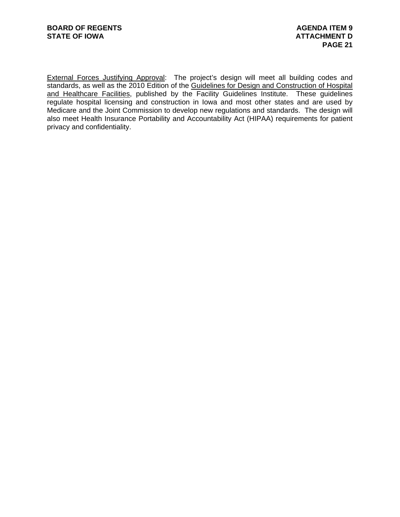External Forces Justifying Approval: The project's design will meet all building codes and standards, as well as the 2010 Edition of the Guidelines for Design and Construction of Hospital and Healthcare Facilities, published by the Facility Guidelines Institute. These guidelines regulate hospital licensing and construction in Iowa and most other states and are used by Medicare and the Joint Commission to develop new regulations and standards. The design will also meet Health Insurance Portability and Accountability Act (HIPAA) requirements for patient privacy and confidentiality.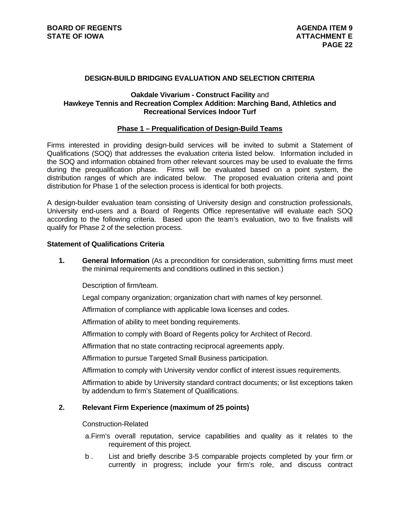### **DESIGN-BUILD BRIDGING EVALUATION AND SELECTION CRITERIA**

### **Oakdale Vivarium - Construct Facility** and **Hawkeye Tennis and Recreation Complex Addition: Marching Band, Athletics and Recreational Services Indoor Turf**

#### **Phase 1 – Prequalification of Design-Build Teams**

Firms interested in providing design-build services will be invited to submit a Statement of Qualifications (SOQ) that addresses the evaluation criteria listed below. Information included in the SOQ and information obtained from other relevant sources may be used to evaluate the firms during the prequalification phase. Firms will be evaluated based on a point system, the distribution ranges of which are indicated below. The proposed evaluation criteria and point distribution for Phase 1 of the selection process is identical for both projects.

A design-builder evaluation team consisting of University design and construction professionals, University end-users and a Board of Regents Office representative will evaluate each SOQ according to the following criteria. Based upon the team's evaluation, two to five finalists will qualify for Phase 2 of the selection process.

## **Statement of Qualifications Criteria**

**1. General Information** (As a precondition for consideration, submitting firms must meet the minimal requirements and conditions outlined in this section.)

Description of firm/team.

Legal company organization; organization chart with names of key personnel.

Affirmation of compliance with applicable Iowa licenses and codes.

Affirmation of ability to meet bonding requirements.

Affirmation to comply with Board of Regents policy for Architect of Record.

Affirmation that no state contracting reciprocal agreements apply.

Affirmation to pursue Targeted Small Business participation.

Affirmation to comply with University vendor conflict of interest issues requirements.

Affirmation to abide by University standard contract documents; or list exceptions taken by addendum to firm's Statement of Qualifications.

#### **2. Relevant Firm Experience (maximum of 25 points)**

#### Construction-Related

- a. Firm's overall reputation, service capabilities and quality as it relates to the requirement of this project.
- b . List and briefly describe 3-5 comparable projects completed by your firm or currently in progress; include your firm's role, and discuss contract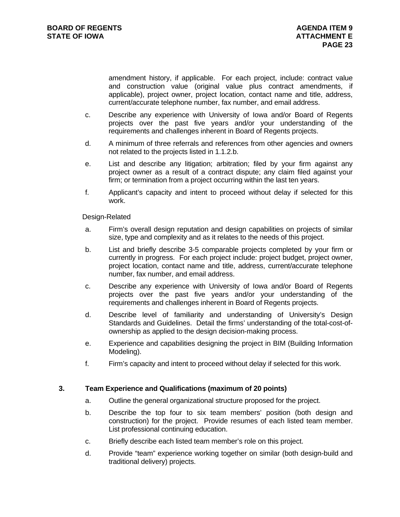amendment history, if applicable. For each project, include: contract value and construction value (original value plus contract amendments, if applicable), project owner, project location, contact name and title, address, current/accurate telephone number, fax number, and email address.

- c. Describe any experience with University of Iowa and/or Board of Regents projects over the past five years and/or your understanding of the requirements and challenges inherent in Board of Regents projects.
- d. A minimum of three referrals and references from other agencies and owners not related to the projects listed in 1.1.2.b.
- e. List and describe any litigation; arbitration; filed by your firm against any project owner as a result of a contract dispute; any claim filed against your firm; or termination from a project occurring within the last ten years.
- f. Applicant's capacity and intent to proceed without delay if selected for this work.

Design-Related

- a. Firm's overall design reputation and design capabilities on projects of similar size, type and complexity and as it relates to the needs of this project.
- b. List and briefly describe 3-5 comparable projects completed by your firm or currently in progress. For each project include: project budget, project owner, project location, contact name and title, address, current/accurate telephone number, fax number, and email address.
- c. Describe any experience with University of Iowa and/or Board of Regents projects over the past five years and/or your understanding of the requirements and challenges inherent in Board of Regents projects.
- d. Describe level of familiarity and understanding of University's Design Standards and Guidelines. Detail the firms' understanding of the total-cost-ofownership as applied to the design decision-making process.
- e. Experience and capabilities designing the project in BIM (Building Information Modeling).
- f. Firm's capacity and intent to proceed without delay if selected for this work.

## **3. Team Experience and Qualifications (maximum of 20 points)**

- a. Outline the general organizational structure proposed for the project.
- b. Describe the top four to six team members' position (both design and construction) for the project. Provide resumes of each listed team member. List professional continuing education.
- c. Briefly describe each listed team member's role on this project.
- d. Provide "team" experience working together on similar (both design-build and traditional delivery) projects.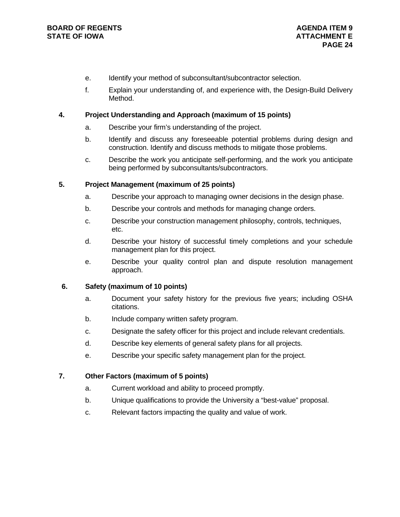- e. Identify your method of subconsultant/subcontractor selection.
- f. Explain your understanding of, and experience with, the Design-Build Delivery Method.

## **4. Project Understanding and Approach (maximum of 15 points)**

- a. Describe your firm's understanding of the project.
- b. Identify and discuss any foreseeable potential problems during design and construction. Identify and discuss methods to mitigate those problems.
- c. Describe the work you anticipate self-performing, and the work you anticipate being performed by subconsultants/subcontractors.

## **5. Project Management (maximum of 25 points)**

- a. Describe your approach to managing owner decisions in the design phase.
- b. Describe your controls and methods for managing change orders.
- c. Describe your construction management philosophy, controls, techniques, etc.
- d. Describe your history of successful timely completions and your schedule management plan for this project.
- e. Describe your quality control plan and dispute resolution management approach.

## **6. Safety (maximum of 10 points)**

- a. Document your safety history for the previous five years; including OSHA citations.
- b. Include company written safety program.
- c. Designate the safety officer for this project and include relevant credentials.
- d. Describe key elements of general safety plans for all projects.
- e. Describe your specific safety management plan for the project.

## **7. Other Factors (maximum of 5 points)**

- a. Current workload and ability to proceed promptly.
- b. Unique qualifications to provide the University a "best-value" proposal.
- c. Relevant factors impacting the quality and value of work.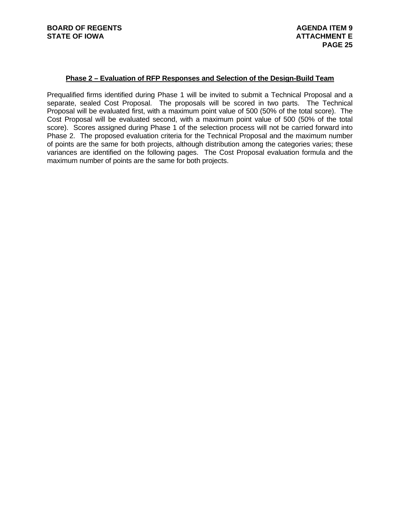### **Phase 2 – Evaluation of RFP Responses and Selection of the Design-Build Team**

Prequalified firms identified during Phase 1 will be invited to submit a Technical Proposal and a separate, sealed Cost Proposal. The proposals will be scored in two parts. The Technical Proposal will be evaluated first, with a maximum point value of 500 (50% of the total score). The Cost Proposal will be evaluated second, with a maximum point value of 500 (50% of the total score). Scores assigned during Phase 1 of the selection process will not be carried forward into Phase 2. The proposed evaluation criteria for the Technical Proposal and the maximum number of points are the same for both projects, although distribution among the categories varies; these variances are identified on the following pages. The Cost Proposal evaluation formula and the maximum number of points are the same for both projects.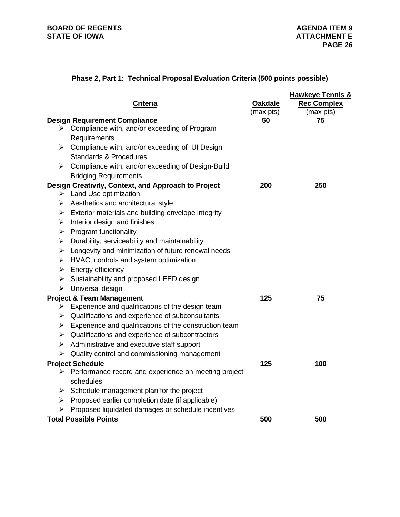# **Phase 2, Part 1: Technical Proposal Evaluation Criteria (500 points possible)**

|   | <b>Criteria</b>                                                                                       | <b>Oakdale</b><br>(max pts) | <b>Hawkeye Tennis &amp;</b><br><b>Rec Complex</b><br>(max pts) |
|---|-------------------------------------------------------------------------------------------------------|-----------------------------|----------------------------------------------------------------|
|   | <b>Design Requirement Compliance</b><br>$\triangleright$ Compliance with, and/or exceeding of Program | 50                          | 75                                                             |
|   | Requirements                                                                                          |                             |                                                                |
|   | $\triangleright$ Compliance with, and/or exceeding of UI Design                                       |                             |                                                                |
|   | <b>Standards &amp; Procedures</b>                                                                     |                             |                                                                |
| ≻ | Compliance with, and/or exceeding of Design-Build                                                     |                             |                                                                |
|   | <b>Bridging Requirements</b>                                                                          |                             |                                                                |
|   | Design Creativity, Context, and Approach to Project                                                   | 200                         | 250                                                            |
|   | $\triangleright$ Land Use optimization                                                                |                             |                                                                |
|   | $\triangleright$ Aesthetics and architectural style                                                   |                             |                                                                |
|   | $\triangleright$ Exterior materials and building envelope integrity                                   |                             |                                                                |
|   | $\triangleright$ Interior design and finishes                                                         |                             |                                                                |
| ➤ | <b>Program functionality</b>                                                                          |                             |                                                                |
| ➤ | Durability, serviceability and maintainability                                                        |                             |                                                                |
| ➤ | Longevity and minimization of future renewal needs                                                    |                             |                                                                |
| ➤ | HVAC, controls and system optimization                                                                |                             |                                                                |
| ➤ | Energy efficiency<br>$\triangleright$ Sustainability and proposed LEED design                         |                             |                                                                |
| ≻ | Universal design                                                                                      |                             |                                                                |
|   | <b>Project &amp; Team Management</b>                                                                  | 125                         | 75                                                             |
|   | $\triangleright$ Experience and qualifications of the design team                                     |                             |                                                                |
| ≻ | Qualifications and experience of subconsultants                                                       |                             |                                                                |
|   | $\triangleright$ Experience and qualifications of the construction team                               |                             |                                                                |
| ➤ | Qualifications and experience of subcontractors                                                       |                             |                                                                |
| ➤ | Administrative and executive staff support                                                            |                             |                                                                |
| ➤ | Quality control and commissioning management                                                          |                             |                                                                |
|   | <b>Project Schedule</b>                                                                               | 125                         | 100                                                            |
| ➤ | Performance record and experience on meeting project<br>schedules                                     |                             |                                                                |
| ⋗ | Schedule management plan for the project                                                              |                             |                                                                |
| ➤ | Proposed earlier completion date (if applicable)                                                      |                             |                                                                |
| ➤ | Proposed liquidated damages or schedule incentives                                                    |                             |                                                                |
|   | <b>Total Possible Points</b>                                                                          | 500                         | 500                                                            |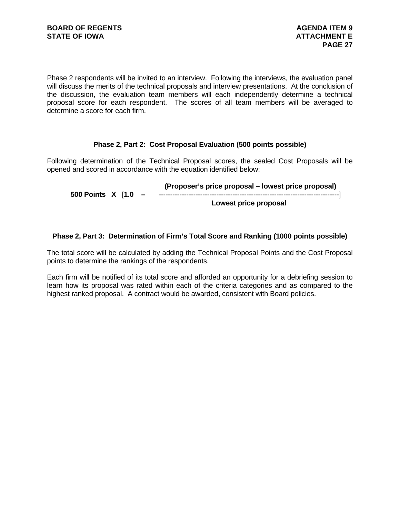Phase 2 respondents will be invited to an interview. Following the interviews, the evaluation panel will discuss the merits of the technical proposals and interview presentations. At the conclusion of the discussion, the evaluation team members will each independently determine a technical proposal score for each respondent. The scores of all team members will be averaged to determine a score for each firm.

## **Phase 2, Part 2: Cost Proposal Evaluation (500 points possible)**

Following determination of the Technical Proposal scores, the sealed Cost Proposals will be opened and scored in accordance with the equation identified below:

 **(Proposer's price proposal – lowest price proposal) 500 Points X** [**1.0 –** ------------------------------------------------------------------------------] **Lowest price proposal** 

### **Phase 2, Part 3: Determination of Firm's Total Score and Ranking (1000 points possible)**

The total score will be calculated by adding the Technical Proposal Points and the Cost Proposal points to determine the rankings of the respondents.

Each firm will be notified of its total score and afforded an opportunity for a debriefing session to learn how its proposal was rated within each of the criteria categories and as compared to the highest ranked proposal. A contract would be awarded, consistent with Board policies.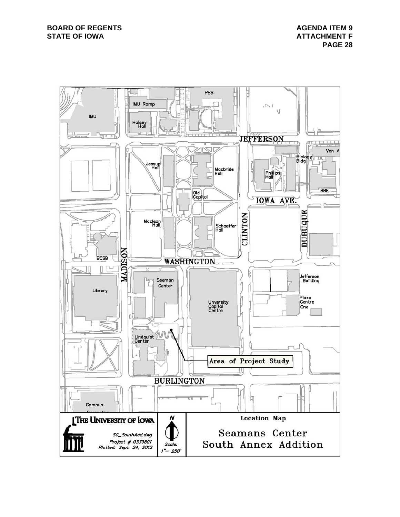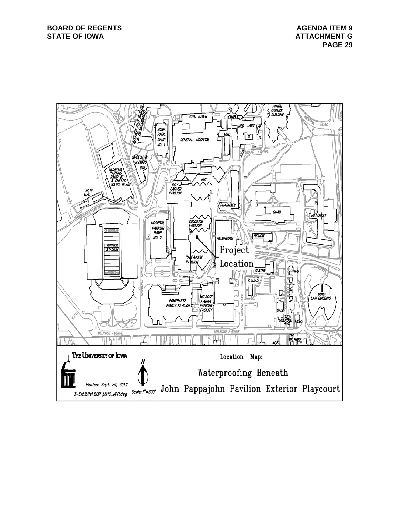